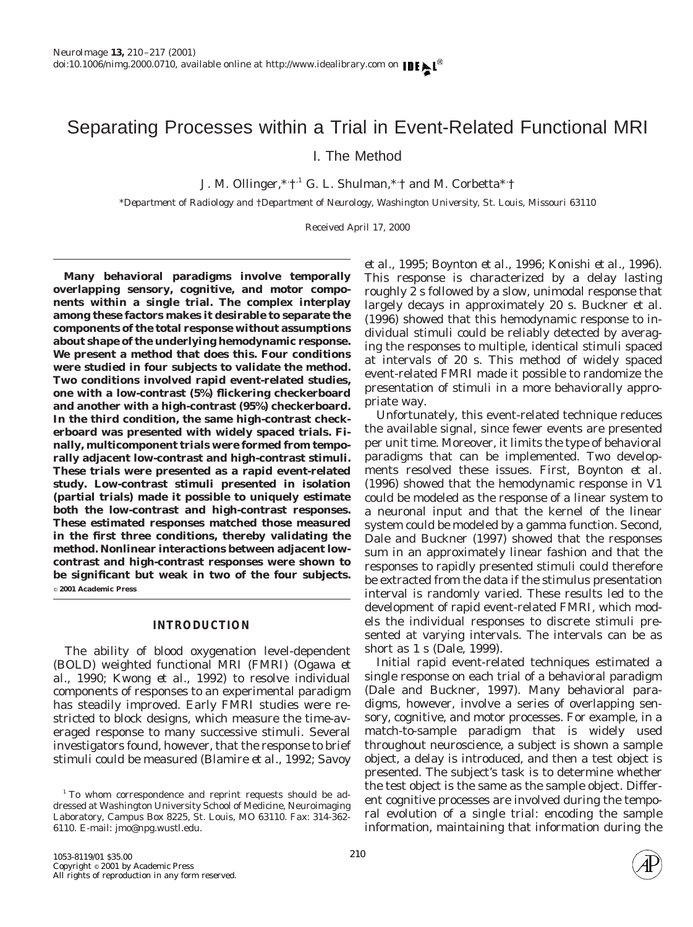# Separating Processes within a Trial in Event-Related Functional MRI

I. The Method

J. M. Ollinger, \* † <sup>1</sup> G. L. Shulman, \* † and M. Corbetta \* †

\**Department of Radiology and* †*Department of Neurology, Washington University, St. Louis, Missouri 63110*

Received April 17, 2000

**Many behavioral paradigms involve temporally overlapping sensory, cognitive, and motor components within a single trial. The complex interplay among these factors makes it desirable to separate the components of the total response without assumptions about shape of the underlying hemodynamic response. We present a method that does this. Four conditions were studied in four subjects to validate the method. Two conditions involved rapid event-related studies, one with a low-contrast (5%) flickering checkerboard and another with a high-contrast (95%) checkerboard. In the third condition, the same high-contrast checkerboard was presented with widely spaced trials. Finally, multicomponent trials were formed from temporally adjacent low-contrast and high-contrast stimuli. These trials were presented as a rapid event-related study. Low-contrast stimuli presented in isolation (partial trials) made it possible to uniquely estimate both the low-contrast and high-contrast responses. These estimated responses matched those measured in the first three conditions, thereby validating the method. Nonlinear interactions between adjacent lowcontrast and high-contrast responses were shown to be significant but weak in two of the four subjects.** © **2001 Academic Press**

# **INTRODUCTION**

The ability of blood oxygenation level-dependent (BOLD) weighted functional MRI (FMRI) (Ogawa *et al.,* 1990; Kwong *et al.,* 1992) to resolve individual components of responses to an experimental paradigm has steadily improved. Early FMRI studies were restricted to block designs, which measure the time-averaged response to many successive stimuli. Several investigators found, however, that the response to brief stimuli could be measured (Blamire *et al.,* 1992; Savoy

*et al.,* 1995; Boynton *et al.,* 1996; Konishi *et al.,* 1996). This response is characterized by a delay lasting roughly 2 s followed by a slow, unimodal response that largely decays in approximately 20 s. Buckner *et al.* (1996) showed that this hemodynamic response to individual stimuli could be reliably detected by averaging the responses to multiple, identical stimuli spaced at intervals of 20 s. This method of widely spaced event-related FMRI made it possible to randomize the presentation of stimuli in a more behaviorally appropriate way.

Unfortunately, this event-related technique reduces the available signal, since fewer events are presented per unit time. Moreover, it limits the type of behavioral paradigms that can be implemented. Two developments resolved these issues. First, Boynton *et al.* (1996) showed that the hemodynamic response in V1 could be modeled as the response of a linear system to a neuronal input and that the kernel of the linear system could be modeled by a gamma function. Second, Dale and Buckner (1997) showed that the responses sum in an approximately linear fashion and that the responses to rapidly presented stimuli could therefore be extracted from the data if the stimulus presentation interval is randomly varied. These results led to the development of rapid event-related FMRI, which models the individual responses to discrete stimuli presented at varying intervals. The intervals can be as short as 1 s (Dale, 1999).

Initial rapid event-related techniques estimated a single response on each trial of a behavioral paradigm (Dale and Buckner, 1997). Many behavioral paradigms, however, involve a series of overlapping sensory, cognitive, and motor processes. For example, in a match-to-sample paradigm that is widely used throughout neuroscience, a subject is shown a sample object, a delay is introduced, and then a test object is presented. The subject's task is to determine whether the test object is the same as the sample object. Different cognitive processes are involved during the temporal evolution of a single trial: encoding the sample information, maintaining that information during the



<sup>&</sup>lt;sup>1</sup> To whom correspondence and reprint requests should be addressed at Washington University School of Medicine, Neuroimaging Laboratory, Campus Box 8225, St. Louis, MO 63110. Fax: 314-362- 6110. E-mail: jmo@npg.wustl.edu.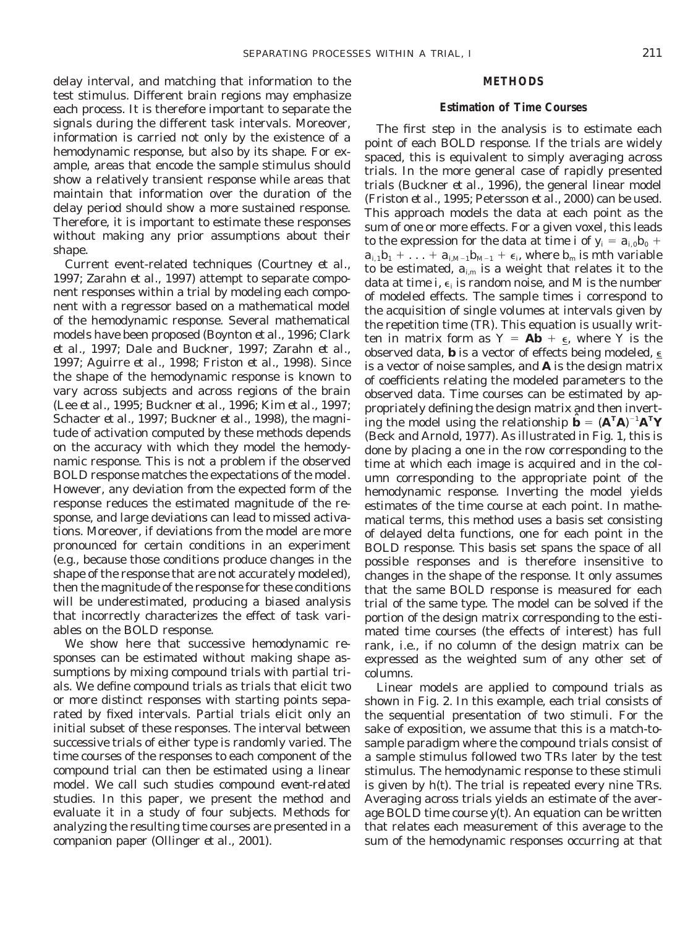delay interval, and matching that information to the test stimulus. Different brain regions may emphasize each process. It is therefore important to separate the signals during the different task intervals. Moreover, information is carried not only by the existence of a hemodynamic response, but also by its shape. For example, areas that encode the sample stimulus should show a relatively transient response while areas that maintain that information over the duration of the delay period should show a more sustained response. Therefore, it is important to estimate these responses without making any prior assumptions about their shape.

Current event-related techniques (Courtney *et al.,* 1997; Zarahn *et al.,* 1997) attempt to separate component responses within a trial by modeling each component with a regressor based on a mathematical model of the hemodynamic response. Several mathematical models have been proposed (Boynton *et al.,* 1996; Clark *et al.,* 1997; Dale and Buckner, 1997; Zarahn *et al.,* 1997; Aguirre *et al.,* 1998; Friston *et al.,* 1998). Since the shape of the hemodynamic response is known to vary across subjects and across regions of the brain (Lee *et al.,* 1995; Buckner *et al.,* 1996; Kim *et al.,* 1997; Schacter *et al.,* 1997; Buckner *et al.,* 1998), the magnitude of activation computed by these methods depends on the accuracy with which they model the hemodynamic response. This is not a problem if the observed BOLD response matches the expectations of the model. However, any deviation from the expected form of the response reduces the estimated magnitude of the response, and large deviations can lead to missed activations. Moreover, if deviations from the model are more pronounced for certain conditions in an experiment (e.g., because those conditions produce changes in the shape of the response that are not accurately modeled), then the magnitude of the response for these conditions will be underestimated, producing a biased analysis that incorrectly characterizes the effect of task variables on the BOLD response.

We show here that successive hemodynamic responses can be estimated without making shape assumptions by mixing *compound* trials with *partial* trials. We define compound trials as trials that elicit two or more distinct responses with starting points separated by fixed intervals. Partial trials elicit only an initial subset of these responses. The interval between successive trials of either type is randomly varied. The time courses of the responses to each component of the compound trial can then be estimated using a linear model. We call such studies *compound event-related* studies. In this paper, we present the method and evaluate it in a study of four subjects. Methods for analyzing the resulting time courses are presented in a companion paper (Ollinger *et al.,* 2001).

# **METHODS**

## **Estimation of Time Courses**

The first step in the analysis is to estimate each point of each BOLD response. If the trials are widely spaced, this is equivalent to simply averaging across trials. In the more general case of rapidly presented trials (Buckner *et al.,* 1996), the general linear model (Friston *et al.,* 1995; Petersson *et al.,* 2000) can be used. This approach models the data at each point as the sum of one or more effects. For a given voxel, this leads to the expression for the data at time *i* of  $y_i = a_{i0}b_0 +$  $a_{i1}b_1 + \ldots + a_{iM-1}b_{M-1} + \epsilon_i$ , where  $b_m$  is *m*th variable to be estimated,  $a_{i,m}$  is a weight that relates it to the data at time  $i$ ,  $\epsilon$ <sub>i</sub> is random noise, and *M* is the number of modeled effects. The sample times *i* correspond to the acquisition of single volumes at intervals given by the repetition time (TR). This equation is usually written in matrix form as  $Y = Ab + \epsilon$ , where *Y* is the observed data, *b* is a vector of effects being modeled,  $\epsilon$ is a vector of noise samples, and *A* is the *design matrix* of coefficients relating the modeled parameters to the observed data. Time courses can be estimated by appropriately defining the design matrix and then inverting the model using the relationship  $\hat{\boldsymbol{b}} = (\boldsymbol{A}^T \boldsymbol{A})^{-1} \boldsymbol{A}^T \boldsymbol{Y}$ (Beck and Arnold, 1977). As illustrated in Fig. 1, this is done by placing a one in the row corresponding to the time at which each image is acquired and in the column corresponding to the appropriate point of the hemodynamic response. Inverting the model yields estimates of the time course at each point. In mathematical terms, this method uses a basis set consisting of delayed delta functions, one for each point in the BOLD response. This basis set spans the space of all possible responses and is therefore insensitive to changes in the shape of the response. It only assumes that the same BOLD response is measured for each trial of the same type. The model can be solved if the portion of the design matrix corresponding to the estimated time courses (the effects of interest) has full rank, i.e., if no column of the design matrix can be expressed as the weighted sum of any other set of columns.

Linear models are applied to compound trials as shown in Fig. 2. In this example, each trial consists of the sequential presentation of two stimuli. For the sake of exposition, we assume that this is a match-tosample paradigm where the compound trials consist of a sample stimulus followed two TRs later by the test stimulus. The hemodynamic response to these stimuli is given by *h*(*t*). The trial is repeated every nine TRs. Averaging across trials yields an estimate of the average BOLD time course *y*(*t*). An equation can be written that relates each measurement of this average to the sum of the hemodynamic responses occurring at that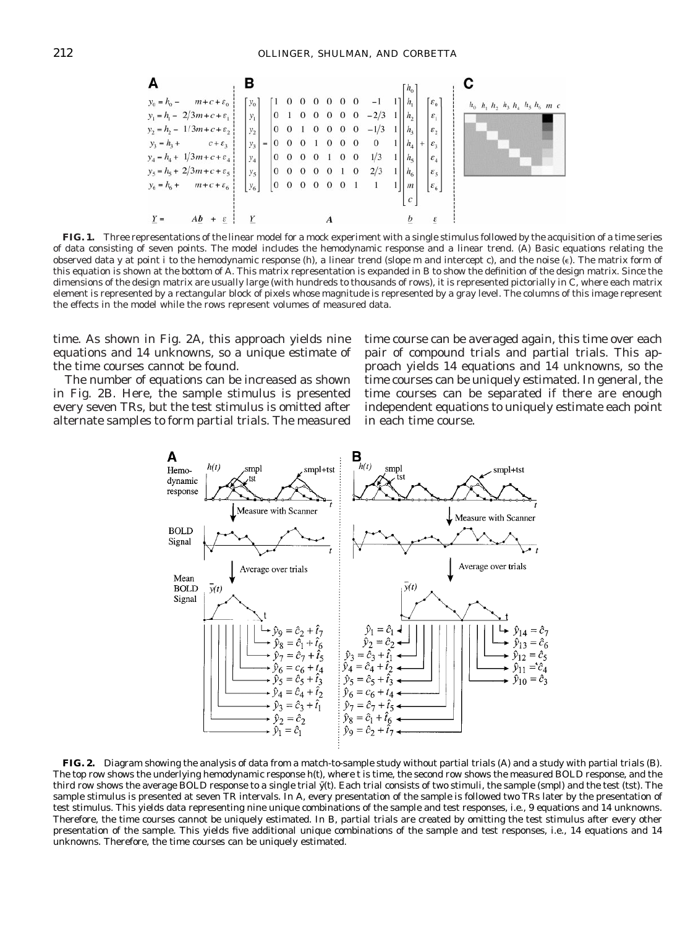

**FIG. 1.** Three representations of the linear model for a mock experiment with a single stimulus followed by the acquisition of a time series of data consisting of seven points. The model includes the hemodynamic response and a linear trend. (A) Basic equations relating the observed data *y* at point *i* to the hemodynamic response  $(h)$ , a linear trend (slope *m* and intercept *c*), and the noise ( $\epsilon$ ). The matrix form of this equation is shown at the bottom of A. This matrix representation is expanded in B to show the definition of the design matrix. Since the dimensions of the design matrix are usually large (with hundreds to thousands of rows), it is represented pictorially in C, where each matrix element is represented by a rectangular block of pixels whose magnitude is represented by a gray level. The columns of this image represent the effects in the model while the rows represent volumes of measured data.

time. As shown in Fig. 2A, this approach yields nine equations and 14 unknowns, so a unique estimate of the time courses cannot be found.

The number of equations can be increased as shown in Fig. 2B. Here, the sample stimulus is presented every seven TRs, but the test stimulus is omitted after alternate samples to form partial trials. The measured

time course can be averaged again, this time over each pair of compound trials and partial trials. This approach yields 14 equations and 14 unknowns, so the time courses can be uniquely estimated. In general, the time courses can be separated if there are enough independent equations to uniquely estimate each point in each time course.



**FIG. 2.** Diagram showing the analysis of data from a match-to-sample study without partial trials (A) and a study with partial trials (B). The top row shows the underlying hemodynamic response *h*(*t*), where *t* is time, the second row shows the measured BOLD response, and the third row shows the average BOLD response to a single trial  $\bar{y}(t)$ . Each trial consists of two stimuli, the sample (smpl) and the test (tst). The sample stimulus is presented at seven TR intervals. In A, every presentation of the sample is followed two TRs later by the presentation of test stimulus. This yields data representing nine unique combinations of the sample and test responses, i.e., 9 equations and 14 unknowns. Therefore, the time courses cannot be uniquely estimated. In B, partial trials are created by omitting the test stimulus after every other presentation of the sample. This yields five additional unique combinations of the sample and test responses*,* i.e., 14 equations and 14 unknowns. Therefore, the time courses can be uniquely estimated.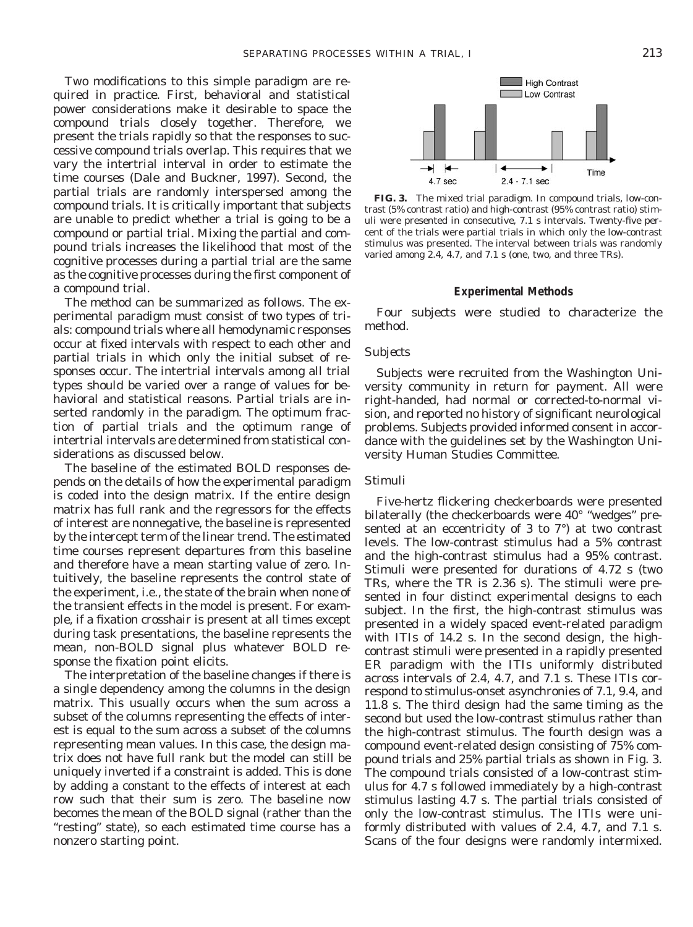Two modifications to this simple paradigm are required in practice. First, behavioral and statistical power considerations make it desirable to space the compound trials closely together. Therefore, we present the trials rapidly so that the responses to successive compound trials overlap. This requires that we vary the intertrial interval in order to estimate the time courses (Dale and Buckner, 1997). Second, the partial trials are randomly interspersed among the compound trials. It is critically important that subjects are unable to predict whether a trial is going to be a compound or partial trial. Mixing the partial and compound trials increases the likelihood that most of the cognitive processes during a partial trial are the same as the cognitive processes during the first component of a compound trial.

The method can be summarized as follows. The experimental paradigm must consist of two types of trials: compound trials where all hemodynamic responses occur at fixed intervals with respect to each other and partial trials in which only the initial subset of responses occur. The intertrial intervals among all trial types should be varied over a range of values for behavioral and statistical reasons. Partial trials are inserted randomly in the paradigm. The optimum fraction of partial trials and the optimum range of intertrial intervals are determined from statistical considerations as discussed below.

The baseline of the estimated BOLD responses depends on the details of how the experimental paradigm is coded into the design matrix. If the entire design matrix has full rank and the regressors for the effects of interest are nonnegative, the baseline is represented by the intercept term of the linear trend. The estimated time courses represent departures from this baseline and therefore have a mean starting value of zero. Intuitively, the baseline represents the control state of the experiment, i.e., the state of the brain when none of the transient effects in the model is present. For example, if a fixation crosshair is present at all times except during task presentations, the baseline represents the mean, non-BOLD signal plus whatever BOLD response the fixation point elicits.

The interpretation of the baseline changes if there is a single dependency among the columns in the design matrix. This usually occurs when the sum across a subset of the columns representing the effects of interest is equal to the sum across a subset of the columns representing mean values. In this case, the design matrix does not have full rank but the model can still be uniquely inverted if a constraint is added. This is done by adding a constant to the effects of interest at each row such that their sum is zero. The baseline now becomes the mean of the BOLD signal (rather than the "resting" state), so each estimated time course has a nonzero starting point.



**FIG. 3.** The mixed trial paradigm. In compound trials, low-contrast (5% contrast ratio) and high-contrast (95% contrast ratio) stimuli were presented in consecutive, 7.1 s intervals. Twenty-five percent of the trials were partial trials in which only the low-contrast stimulus was presented. The interval between trials was randomly varied among 2.4, 4.7, and 7.1 s (one, two, and three TRs).

## **Experimental Methods**

Four subjects were studied to characterize the method.

# *Subjects*

Subjects were recruited from the Washington University community in return for payment. All were right-handed, had normal or corrected-to-normal vision, and reported no history of significant neurological problems. Subjects provided informed consent in accordance with the guidelines set by the Washington University Human Studies Committee.

## *Stimuli*

Five-hertz flickering checkerboards were presented bilaterally (the checkerboards were 40° "wedges" presented at an eccentricity of 3 to 7°) at two contrast levels. The low-contrast stimulus had a 5% contrast and the high-contrast stimulus had a 95% contrast. Stimuli were presented for durations of 4.72 s (two TRs, where the TR is 2.36 s). The stimuli were presented in four distinct experimental designs to each subject. In the first, the high-contrast stimulus was presented in a widely spaced event-related paradigm with ITIs of 14.2 s. In the second design, the highcontrast stimuli were presented in a rapidly presented ER paradigm with the ITIs uniformly distributed across intervals of 2.4, 4.7, and 7.1 s. These ITIs correspond to stimulus-onset asynchronies of 7.1, 9.4, and 11.8 s. The third design had the same timing as the second but used the low-contrast stimulus rather than the high-contrast stimulus. The fourth design was a compound event-related design consisting of 75% compound trials and 25% partial trials as shown in Fig. 3. The compound trials consisted of a low-contrast stimulus for 4.7 s followed immediately by a high-contrast stimulus lasting 4.7 s. The partial trials consisted of only the low-contrast stimulus. The ITIs were uniformly distributed with values of 2.4, 4.7, and 7.1 s. Scans of the four designs were randomly intermixed.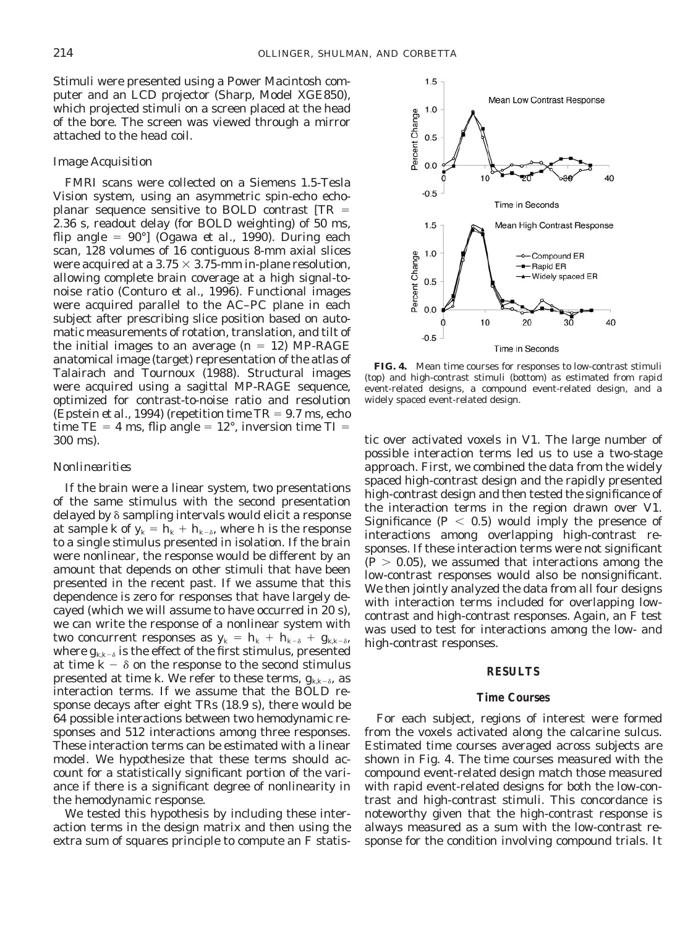Stimuli were presented using a Power Macintosh computer and an LCD projector (Sharp, Model XGE850), which projected stimuli on a screen placed at the head of the bore. The screen was viewed through a mirror attached to the head coil.

#### *Image Acquisition*

FMRI scans were collected on a Siemens 1.5-Tesla Vision system, using an asymmetric spin-echo echoplanar sequence sensitive to BOLD contrast  $TR =$ 2.36 s, readout delay (for BOLD weighting) of 50 ms, flip angle =  $90^{\circ}$ ] (Ogawa *et al.*, 1990). During each scan, 128 volumes of 16 contiguous 8-mm axial slices were acquired at a  $3.75 \times 3.75$ -mm in-plane resolution, allowing complete brain coverage at a high signal-tonoise ratio (Conturo *et al.,* 1996). Functional images were acquired parallel to the AC–PC plane in each subject after prescribing slice position based on automatic measurements of rotation, translation, and tilt of the initial images to an average  $(n = 12)$  MP-RAGE anatomical image (target) representation of the atlas of Talairach and Tournoux (1988). Structural images were acquired using a sagittal MP-RAGE sequence, optimized for contrast-to-noise ratio and resolution (Epstein *et al.*, 1994) (repetition time  $TR = 9.7$  ms, echo time TE = 4 ms, flip angle =  $12^{\circ}$ , inversion time TI = 300 ms).

# *Nonlinearities*

If the brain were a linear system, two presentations of the same stimulus with the second presentation delayed by  $\delta$  sampling intervals would elicit a response at sample *k* of  $y_k = h_k + h_{k-\delta}$ , where *h* is the response to a single stimulus presented in isolation. If the brain were nonlinear, the response would be different by an amount that depends on other stimuli that have been presented in the recent past. If we assume that this dependence is zero for responses that have largely decayed (which we will assume to have occurred in 20 s), we can write the response of a nonlinear system with two concurrent responses as  $y_k = h_k + h_{k-\delta} + g_{k,k-\delta}$ where  $g_{k,k-\delta}$  is the effect of the first stimulus, presented at time  $k - \delta$  on the response to the second stimulus presented at time *k*. We refer to these terms,  $g_{k,k-\delta}$ , as interaction terms. If we assume that the BOLD response decays after eight TRs (18.9 s), there would be 64 possible interactions between two hemodynamic responses and 512 interactions among three responses. These interaction terms can be estimated with a linear model. We hypothesize that these terms should account for a statistically significant portion of the variance if there is a significant degree of nonlinearity in the hemodynamic response.

We tested this hypothesis by including these interaction terms in the design matrix and then using the extra sum of squares principle to compute an *F* statis-



**FIG. 4.** Mean time courses for responses to low-contrast stimuli (top) and high-contrast stimuli (bottom) as estimated from rapid event-related designs, a compound event-related design, and a widely spaced event-related design.

tic over activated voxels in V1. The large number of possible interaction terms led us to use a two-stage approach. First, we combined the data from the widely spaced high-contrast design and the rapidly presented high-contrast design and then tested the significance of the interaction terms in the region drawn over V1. Significance  $(P < 0.5)$  would imply the presence of interactions among overlapping high-contrast responses. If these interaction terms were not significant  $(P > 0.05)$ , we assumed that interactions among the low-contrast responses would also be nonsignificant. We then jointly analyzed the data from all four designs with interaction terms included for overlapping lowcontrast and high-contrast responses. Again, an *F* test was used to test for interactions among the low- and high-contrast responses.

#### **RESULTS**

#### **Time Courses**

For each subject, regions of interest were formed from the voxels activated along the calcarine sulcus. Estimated time courses averaged across subjects are shown in Fig. 4. The time courses measured with the compound event-related design match those measured with rapid event-related designs for both the low-contrast and high-contrast stimuli. This concordance is noteworthy given that the high-contrast response is always measured as a sum with the low-contrast response for the condition involving compound trials. It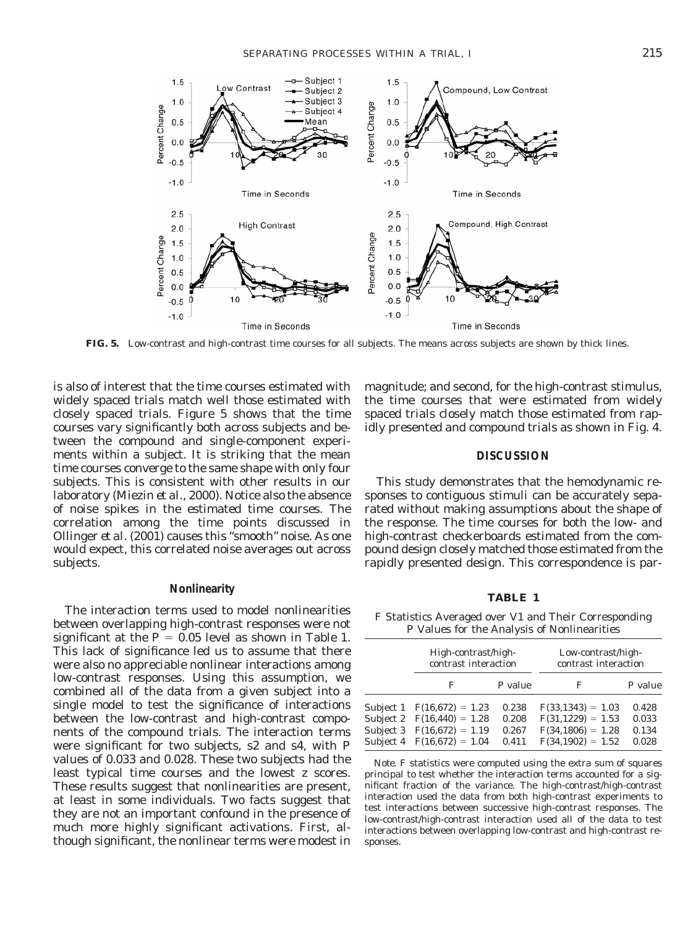

**FIG. 5.** Low-contrast and high-contrast time courses for all subjects. The means across subjects are shown by thick lines.

is also of interest that the time courses estimated with widely spaced trials match well those estimated with closely spaced trials. Figure 5 shows that the time courses vary significantly both across subjects and between the compound and single-component experiments within a subject. It is striking that the mean time courses converge to the same shape with only four subjects. This is consistent with other results in our laboratory (Miezin *et al.,* 2000). Notice also the absence of noise spikes in the estimated time courses. The correlation among the time points discussed in Ollinger *et al.* (2001) causes this "smooth" noise. As one would expect, this correlated noise averages out across subjects.

## **Nonlinearity**

The interaction terms used to model nonlinearities between overlapping high-contrast responses were not significant at the  $P = 0.05$  level as shown in Table 1. This lack of significance led us to assume that there were also no appreciable nonlinear interactions among low-contrast responses. Using this assumption, we combined all of the data from a given subject into a single model to test the significance of interactions between the low-contrast and high-contrast components of the compound trials. The interaction terms were significant for two subjects, s2 and s4, with *P* values of 0.033 and 0.028. These two subjects had the least typical time courses and the lowest *z* scores. These results suggest that nonlinearities are present, at least in some individuals. Two facts suggest that they are not an important confound in the presence of much more highly significant activations. First, although significant, the nonlinear terms were modest in

magnitude; and second, for the high-contrast stimulus, the time courses that were estimated from widely spaced trials closely match those estimated from rapidly presented and compound trials as shown in Fig. 4.

# **DISCUSSION**

This study demonstrates that the hemodynamic responses to contiguous stimuli can be accurately separated without making assumptions about the shape of the response. The time courses for both the low- and high-contrast checkerboards estimated from the compound design closely matched those estimated from the rapidly presented design. This correspondence is par-

#### **TABLE 1**

*F* Statistics Averaged over V1 and Their Corresponding *P* Values for the Analysis of Nonlinearities

|                        | High-contrast/high-<br>contrast interaction |                | Low-contrast/high-<br>contrast interaction |                |
|------------------------|---------------------------------------------|----------------|--------------------------------------------|----------------|
|                        | F                                           | $P$ value      | F                                          | $P$ value      |
| Subject 1              | $F(16,672) = 1.23$                          | 0.238          | $F(33, 1343) = 1.03$                       | 0.428          |
| Subject 2              | $F(16, 440) = 1.28$                         | 0.208          | $F(31.1229) = 1.53$                        | 0.033          |
| Subject 3<br>Subject 4 | $F(16,672) = 1.19$<br>$F(16,672) = 1.04$    | 0.267<br>0.411 | $F(34,1806) = 1.28$<br>$F(34,1902) = 1.52$ | 0.134<br>0.028 |

*Note. F* statistics were computed using the extra sum of squares principal to test whether the interaction terms accounted for a significant fraction of the variance. The high-contrast/high-contrast interaction used the data from both high-contrast experiments to test interactions between successive high-contrast responses. The low-contrast/high-contrast interaction used all of the data to test interactions between overlapping low-contrast and high-contrast responses.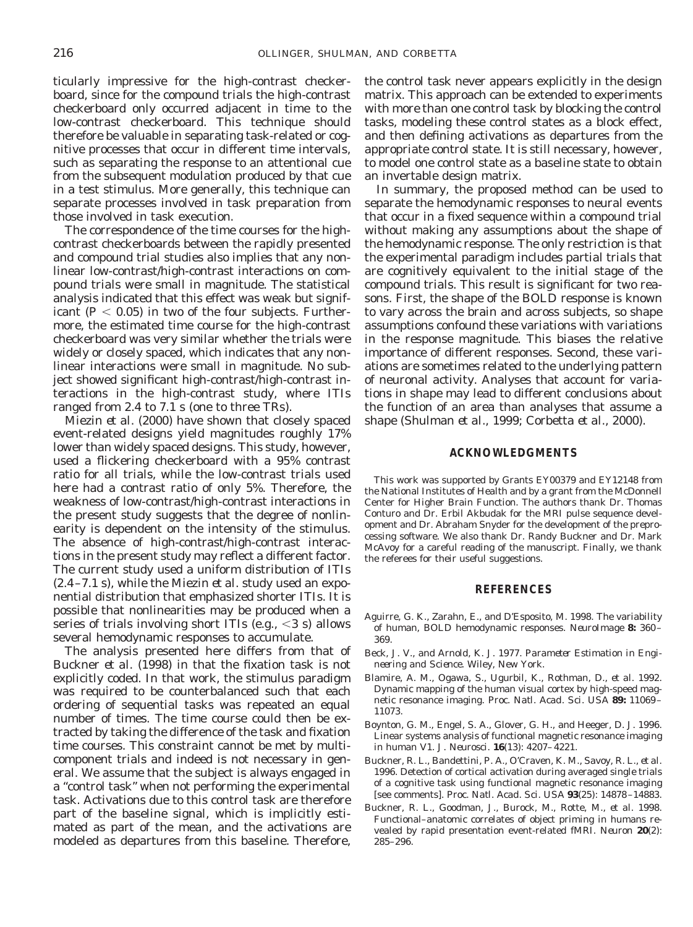ticularly impressive for the high-contrast checkerboard, since for the compound trials the high-contrast checkerboard only occurred adjacent in time to the low-contrast checkerboard. This technique should therefore be valuable in separating task-related or cognitive processes that occur in different time intervals, such as separating the response to an attentional cue from the subsequent modulation produced by that cue in a test stimulus. More generally, this technique can separate processes involved in task preparation from those involved in task execution.

The correspondence of the time courses for the highcontrast checkerboards between the rapidly presented and compound trial studies also implies that any nonlinear low-contrast/high-contrast interactions on compound trials were small in magnitude. The statistical analysis indicated that this effect was weak but significant  $(P < 0.05)$  in two of the four subjects. Furthermore, the estimated time course for the high-contrast checkerboard was very similar whether the trials were widely or closely spaced, which indicates that any nonlinear interactions were small in magnitude. No subject showed significant high-contrast/high-contrast interactions in the high-contrast study, where ITIs ranged from 2.4 to 7.1 s (one to three TRs).

Miezin *et al.* (2000) have shown that closely spaced event-related designs yield magnitudes roughly 17% lower than widely spaced designs. This study, however, used a flickering checkerboard with a 95% contrast ratio for all trials, while the low-contrast trials used here had a contrast ratio of only 5%. Therefore, the weakness of low-contrast/high-contrast interactions in the present study suggests that the degree of nonlinearity is dependent on the intensity of the stimulus. The absence of high-contrast/high-contrast interactions in the present study may reflect a different factor. The current study used a uniform distribution of ITIs (2.4–7.1 s), while the Miezin *et al.* study used an exponential distribution that emphasized shorter ITIs. It is possible that nonlinearities may be produced when a series of trials involving short ITIs (e.g.,  $\leq$ 3 s) allows several hemodynamic responses to accumulate.

The analysis presented here differs from that of Buckner *et al.* (1998) in that the fixation task is not explicitly coded. In that work, the stimulus paradigm was required to be counterbalanced such that each ordering of sequential tasks was repeated an equal number of times. The time course could then be extracted by taking the difference of the task and fixation time courses. This constraint cannot be met by multicomponent trials and indeed is not necessary in general. We assume that the subject is always engaged in a "control task" when not performing the experimental task. Activations due to this control task are therefore part of the baseline signal, which is implicitly estimated as part of the mean, and the activations are modeled as departures from this baseline. Therefore,

the control task never appears explicitly in the design matrix. This approach can be extended to experiments with more than one control task by blocking the control tasks, modeling these control states as a block effect, and then defining activations as departures from the appropriate control state. It is still necessary, however, to model one control state as a baseline state to obtain an invertable design matrix.

In summary, the proposed method can be used to separate the hemodynamic responses to neural events that occur in a fixed sequence within a compound trial without making any assumptions about the shape of the hemodynamic response. The only restriction is that the experimental paradigm includes partial trials that are cognitively equivalent to the initial stage of the compound trials. This result is significant for two reasons. First, the shape of the BOLD response is known to vary across the brain and across subjects, so shape assumptions confound these variations with variations in the response magnitude. This biases the relative importance of different responses. Second, these variations are sometimes related to the underlying pattern of neuronal activity. Analyses that account for variations in shape may lead to different conclusions about the function of an area than analyses that assume a shape (Shulman *et al.,* 1999; Corbetta *et al.,* 2000).

# **ACKNOWLEDGMENTS**

This work was supported by Grants EY00379 and EY12148 from the National Institutes of Health and by a grant from the McDonnell Center for Higher Brain Function. The authors thank Dr. Thomas Conturo and Dr. Erbil Akbudak for the MRI pulse sequence development and Dr. Abraham Snyder for the development of the preprocessing software. We also thank Dr. Randy Buckner and Dr. Mark McAvoy for a careful reading of the manuscript. Finally, we thank the referees for their useful suggestions.

## **REFERENCES**

- Aguirre, G. K., Zarahn, E., and D'Esposito, M. 1998. The variability of human, BOLD hemodynamic responses. *NeuroImage* **8:** 360– 369.
- Beck, J. V., and Arnold, K. J. 1977. *Parameter Estimation in Engineering and Science.* Wiley, New York.
- Blamire, A. M., Ogawa, S., Ugurbil, K., Rothman, D., *et al.* 1992. Dynamic mapping of the human visual cortex by high-speed magnetic resonance imaging. *Proc. Natl. Acad. Sci. USA* **89:** 11069– 11073.
- Boynton, G. M., Engel, S. A., Glover, G. H., and Heeger, D. J. 1996. Linear systems analysis of functional magnetic resonance imaging in human V1. *J. Neurosci.* **16**(13): 4207–4221.
- Buckner, R. L., Bandettini, P. A., O'Craven, K. M., Savoy, R. L., *et al.* 1996. Detection of cortical activation during averaged single trials of a cognitive task using functional magnetic resonance imaging [see comments]. *Proc. Natl. Acad. Sci. USA* **93**(25): 14878–14883.
- Buckner, R. L., Goodman, J., Burock, M., Rotte, M., *et al.* 1998. Functional–anatomic correlates of object priming in humans revealed by rapid presentation event-related fMRI. *Neuron* **20**(2): 285–296.